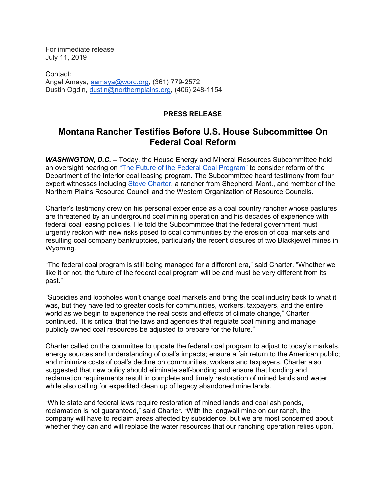For immediate release July 11, 2019

Contact: Angel Amaya, [aamaya@worc.org,](mailto:aamaya@worc.org) (361) 779-2572 Dustin Ogdin, [dustin@northernplains.org,](mailto:dustin@northernplains.org) (406) 248-1154

## **PRESS RELEASE**

## **Montana Rancher Testifies Before U.S. House Subcommittee On Federal Coal Reform**

*WASHINGTON, D.C.* **–** Today, the House Energy and Mineral Resources Subcommittee held an oversight hearing on ["The Future of the Federal Coal Program"](https://naturalresources.house.gov/hearings/the-future-of-the-federal-coal-program) to consider reform of the Department of the Interior coal leasing program. The Subcommittee heard testimony from four expert witnesses including [Steve Charter,](https://northernplains.org/wp-content/uploads/2019/07/Steve_Charter_Future_of_Coal_Testimony_2019-7-11.pdf) a rancher from Shepherd, Mont., and member of the Northern Plains Resource Council and the Western Organization of Resource Councils.

Charter's testimony drew on his personal experience as a coal country rancher whose pastures are threatened by an underground coal mining operation and his decades of experience with federal coal leasing policies. He told the Subcommittee that the federal government must urgently reckon with new risks posed to coal communities by the erosion of coal markets and resulting coal company bankruptcies, particularly the recent closures of two Blackjewel mines in Wyoming.

"The federal coal program is still being managed for a different era," said Charter. "Whether we like it or not, the future of the federal coal program will be and must be very different from its past."

"Subsidies and loopholes won't change coal markets and bring the coal industry back to what it was, but they have led to greater costs for communities, workers, taxpayers, and the entire world as we begin to experience the real costs and effects of climate change," Charter continued. "It is critical that the laws and agencies that regulate coal mining and manage publicly owned coal resources be adjusted to prepare for the future."

Charter called on the committee to update the federal coal program to adjust to today's markets, energy sources and understanding of coal's impacts; ensure a fair return to the American public; and minimize costs of coal's decline on communities, workers and taxpayers. Charter also suggested that new policy should eliminate self-bonding and ensure that bonding and reclamation requirements result in complete and timely restoration of mined lands and water while also calling for expedited clean up of legacy abandoned mine lands.

"While state and federal laws require restoration of mined lands and coal ash ponds, reclamation is not guaranteed," said Charter. "With the longwall mine on our ranch, the company will have to reclaim areas affected by subsidence, but we are most concerned about whether they can and will replace the water resources that our ranching operation relies upon."